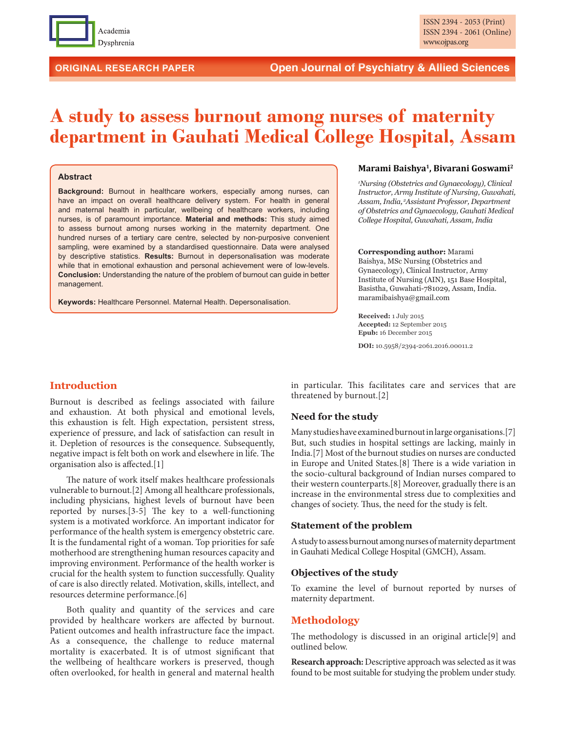

# **A study to assess burnout among nurses of maternity department in Gauhati Medical College Hospital, Assam**

#### **Abstract**

**Background:** Burnout in healthcare workers, especially among nurses, can have an impact on overall healthcare delivery system. For health in general and maternal health in particular, wellbeing of healthcare workers, including nurses, is of paramount importance. **Material and methods:** This study aimed to assess burnout among nurses working in the maternity department. One hundred nurses of a tertiary care centre, selected by non-purposive convenient sampling, were examined by a standardised questionnaire. Data were analysed by descriptive statistics. **Results:** Burnout in depersonalisation was moderate while that in emotional exhaustion and personal achievement were of low-levels. **Conclusion:** Understanding the nature of the problem of burnout can guide in better management.

**Keywords:** Healthcare Personnel. Maternal Health. Depersonalisation.

## **Marami Baishya1, Bivarani Goswami2**

*1 Nursing (Obstetrics and Gynaecology), Clinical Instructor, Army Institute of Nursing, Guwahati, Assam, India, <sup>2</sup> Assistant Professor, Department of Obstetrics and Gynaecology, Gauhati Medical College Hospital, Guwahati, Assam, India*

#### **Corresponding author:** Marami

Baishya, MSc Nursing (Obstetrics and Gynaecology), Clinical Instructor, Army Institute of Nursing (AIN), 151 Base Hospital, Basistha, Guwahati-781029, Assam, India. maramibaishya@gmail.com

**Received:** 1 July 2015 **Accepted:** 12 September 2015 **Epub:** 16 December 2015

**DOI:** 10.5958/2394-2061.2016.00011.2

# **Introduction**

Burnout is described as feelings associated with failure and exhaustion. At both physical and emotional levels, this exhaustion is felt. High expectation, persistent stress, experience of pressure, and lack of satisfaction can result in it. Depletion of resources is the consequence. Subsequently, negative impact is felt both on work and elsewhere in life. The organisation also is affected.[1]

The nature of work itself makes healthcare professionals vulnerable to burnout.[2] Among all healthcare professionals, including physicians, highest levels of burnout have been reported by nurses.[3-5] The key to a well-functioning system is a motivated workforce. An important indicator for performance of the health system is emergency obstetric care. It is the fundamental right of a woman. Top priorities for safe motherhood are strengthening human resources capacity and improving environment. Performance of the health worker is crucial for the health system to function successfully. Quality of care is also directly related. Motivation, skills, intellect, and resources determine performance.[6]

Both quality and quantity of the services and care provided by healthcare workers are affected by burnout. Patient outcomes and health infrastructure face the impact. As a consequence, the challenge to reduce maternal mortality is exacerbated. It is of utmost significant that the wellbeing of healthcare workers is preserved, though often overlooked, for health in general and maternal health

in particular. This facilitates care and services that are threatened by burnout.[2]

## **Need for the study**

Many studies have examined burnout in large organisations.[7] But, such studies in hospital settings are lacking, mainly in India.[7] Most of the burnout studies on nurses are conducted in Europe and United States.[8] There is a wide variation in the socio-cultural background of Indian nurses compared to their western counterparts.[8] Moreover, gradually there is an increase in the environmental stress due to complexities and changes of society. Thus, the need for the study is felt.

## **Statement of the problem**

A study to assess burnout among nurses of maternity department in Gauhati Medical College Hospital (GMCH), Assam.

#### **Objectives of the study**

To examine the level of burnout reported by nurses of maternity department.

# **Methodology**

The methodology is discussed in an original article[9] and outlined below.

**Research approach:** Descriptive approach was selected as it was found to be most suitable for studying the problem under study.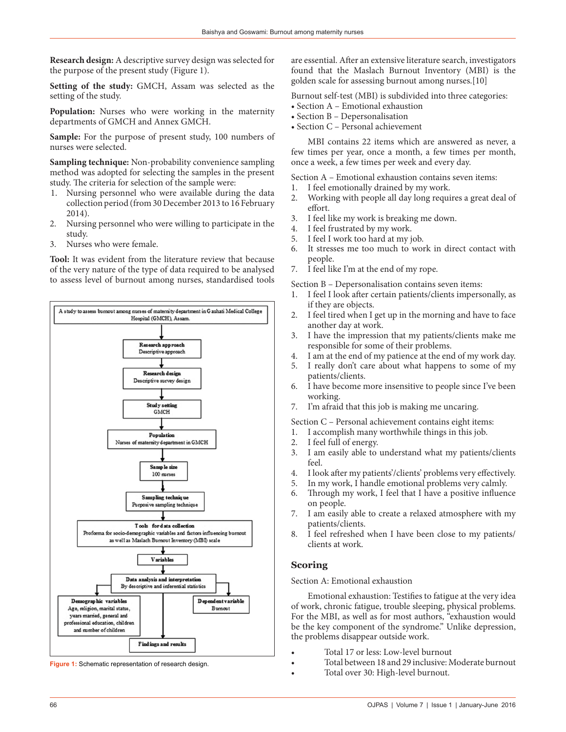**Research design:** A descriptive survey design was selected for the purpose of the present study (Figure 1).

**Setting of the study:** GMCH, Assam was selected as the setting of the study.

**Population:** Nurses who were working in the maternity departments of GMCH and Annex GMCH.

**Sample:** For the purpose of present study, 100 numbers of nurses were selected.

**Sampling technique:** Non-probability convenience sampling method was adopted for selecting the samples in the present study. The criteria for selection of the sample were:

- 1. Nursing personnel who were available during the data collection period (from 30 December 2013 to 16 February 2014).
- 2. Nursing personnel who were willing to participate in the study.
- 3. Nurses who were female.

**Tool:** It was evident from the literature review that because of the very nature of the type of data required to be analysed to assess level of burnout among nurses, standardised tools



**Figure 1:** Schematic representation of research design.

are essential. After an extensive literature search, investigators found that the Maslach Burnout Inventory (MBI) is the golden scale for assessing burnout among nurses.[10]

Burnout self-test (MBI) is subdivided into three categories:

- Section A Emotional exhaustion
- Section B Depersonalisation
- Section C Personal achievement

MBI contains 22 items which are answered as never, a few times per year, once a month, a few times per month, once a week, a few times per week and every day.

Section A – Emotional exhaustion contains seven items:

- 1. I feel emotionally drained by my work.
- 2. Working with people all day long requires a great deal of effort.
- 3. I feel like my work is breaking me down.
- 4. I feel frustrated by my work.
- 5. I feel I work too hard at my job.
- 6. It stresses me too much to work in direct contact with people.
- 7. I feel like I'm at the end of my rope.

Section B – Depersonalisation contains seven items:

- 1. I feel I look after certain patients/clients impersonally, as if they are objects.
- 2. I feel tired when I get up in the morning and have to face another day at work.
- 3. I have the impression that my patients/clients make me responsible for some of their problems.
- 4. I am at the end of my patience at the end of my work day.
- 5. I really don't care about what happens to some of my patients/clients.
- 6. I have become more insensitive to people since I've been working.
- 7. I'm afraid that this job is making me uncaring.

Section C – Personal achievement contains eight items:

- 1. I accomplish many worthwhile things in this job.
- 2. I feel full of energy.
- 3. I am easily able to understand what my patients/clients feel.
- 4. I look after my patients'/clients' problems very effectively.
- 5. In my work, I handle emotional problems very calmly.
- 6. Through my work, I feel that I have a positive influence on people.
- 7. I am easily able to create a relaxed atmosphere with my patients/clients.
- 8. I feel refreshed when I have been close to my patients/ clients at work.

# **Scoring**

Section A: Emotional exhaustion

Emotional exhaustion: Testifies to fatigue at the very idea of work, chronic fatigue, trouble sleeping, physical problems. For the MBI, as well as for most authors, "exhaustion would be the key component of the syndrome." Unlike depression, the problems disappear outside work.

- Total 17 or less: Low-level burnout
- Total between 18 and 29 inclusive: Moderate burnout
- Total over 30: High-level burnout.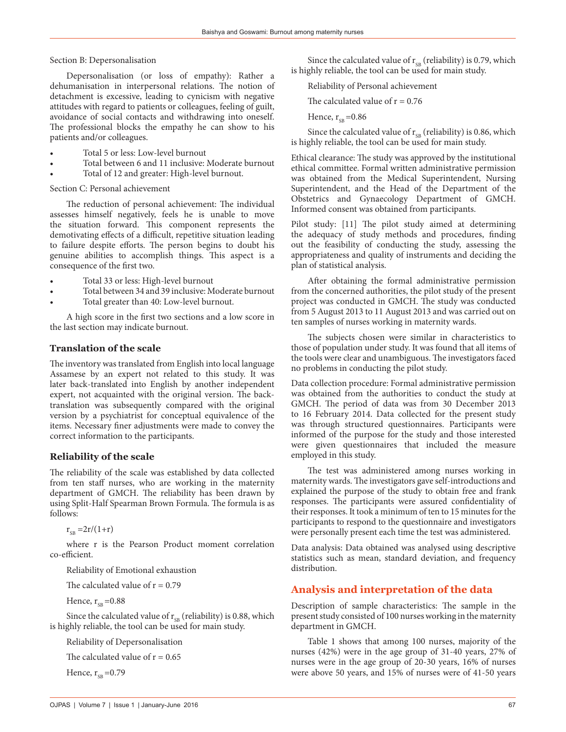Section B: Depersonalisation

Depersonalisation (or loss of empathy): Rather a dehumanisation in interpersonal relations. The notion of detachment is excessive, leading to cynicism with negative attitudes with regard to patients or colleagues, feeling of guilt, avoidance of social contacts and withdrawing into oneself. The professional blocks the empathy he can show to his patients and/or colleagues.

- Total 5 or less: Low-level burnout
- Total between 6 and 11 inclusive: Moderate burnout
- Total of 12 and greater: High-level burnout.

Section C: Personal achievement

The reduction of personal achievement: The individual assesses himself negatively, feels he is unable to move the situation forward. This component represents the demotivating effects of a difficult, repetitive situation leading to failure despite efforts. The person begins to doubt his genuine abilities to accomplish things. This aspect is a consequence of the first two.

- Total 33 or less: High-level burnout
- Total between 34 and 39 inclusive: Moderate burnout
- Total greater than 40: Low-level burnout.

A high score in the first two sections and a low score in the last section may indicate burnout.

# **Translation of the scale**

The inventory was translated from English into local language Assamese by an expert not related to this study. It was later back-translated into English by another independent expert, not acquainted with the original version. The backtranslation was subsequently compared with the original version by a psychiatrist for conceptual equivalence of the items. Necessary finer adjustments were made to convey the correct information to the participants.

# **Reliability of the scale**

The reliability of the scale was established by data collected from ten staff nurses, who are working in the maternity department of GMCH. The reliability has been drawn by using Split-Half Spearman Brown Formula. The formula is as follows:

 $r_{\rm_{CR}} = 2r/(1+r)$ 

where r is the Pearson Product moment correlation co-efficient.

Reliability of Emotional exhaustion

The calculated value of  $r = 0.79$ 

Hence,  $r_{\rm cp} = 0.88$ 

Since the calculated value of  $r_{SB}$  (reliability) is 0.88, which is highly reliable, the tool can be used for main study.

Reliability of Depersonalisation

The calculated value of  $r = 0.65$ 

Hence,  $r_{sp} = 0.79$ 

Since the calculated value of  $\rm r_{\scriptscriptstyle SB}$  (reliability) is 0.79, which is highly reliable, the tool can be used for main study.

Reliability of Personal achievement

The calculated value of  $r = 0.76$ 

Hence,  $r_{SB} = 0.86$ 

Since the calculated value of  $r_{\text{SB}}$  (reliability) is 0.86, which is highly reliable, the tool can be used for main study.

Ethical clearance: The study was approved by the institutional ethical committee. Formal written administrative permission was obtained from the Medical Superintendent, Nursing Superintendent, and the Head of the Department of the Obstetrics and Gynaecology Department of GMCH. Informed consent was obtained from participants.

Pilot study: [11] The pilot study aimed at determining the adequacy of study methods and procedures, finding out the feasibility of conducting the study, assessing the appropriateness and quality of instruments and deciding the plan of statistical analysis.

After obtaining the formal administrative permission from the concerned authorities, the pilot study of the present project was conducted in GMCH. The study was conducted from 5 August 2013 to 11 August 2013 and was carried out on ten samples of nurses working in maternity wards.

The subjects chosen were similar in characteristics to those of population under study. It was found that all items of the tools were clear and unambiguous. The investigators faced no problems in conducting the pilot study.

Data collection procedure: Formal administrative permission was obtained from the authorities to conduct the study at GMCH. The period of data was from 30 December 2013 to 16 February 2014. Data collected for the present study was through structured questionnaires. Participants were informed of the purpose for the study and those interested were given questionnaires that included the measure employed in this study.

The test was administered among nurses working in maternity wards. The investigators gave self-introductions and explained the purpose of the study to obtain free and frank responses. The participants were assured confidentiality of their responses. It took a minimum of ten to 15 minutes for the participants to respond to the questionnaire and investigators were personally present each time the test was administered.

Data analysis: Data obtained was analysed using descriptive statistics such as mean, standard deviation, and frequency distribution.

# **Analysis and interpretation of the data**

Description of sample characteristics: The sample in the present study consisted of 100 nurses working in the maternity department in GMCH.

Table 1 shows that among 100 nurses, majority of the nurses (42%) were in the age group of 31-40 years, 27% of nurses were in the age group of 20-30 years, 16% of nurses were above 50 years, and 15% of nurses were of 41-50 years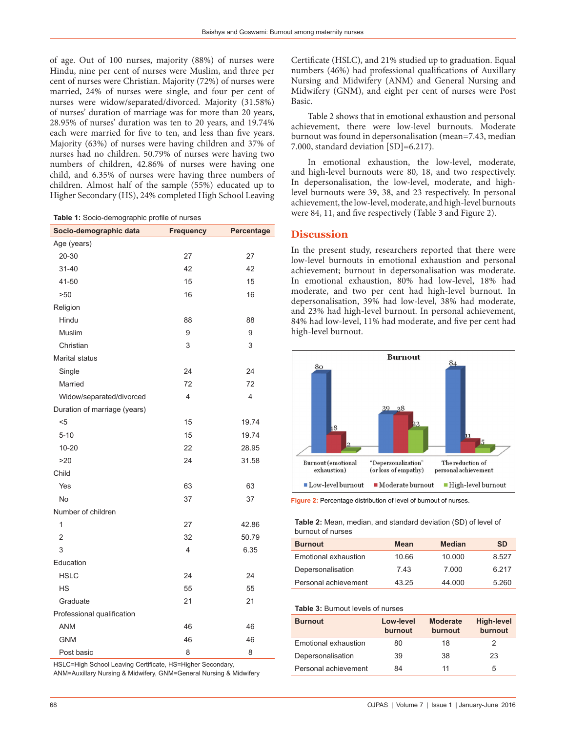of age. Out of 100 nurses, majority (88%) of nurses were Hindu, nine per cent of nurses were Muslim, and three per cent of nurses were Christian. Majority (72%) of nurses were married, 24% of nurses were single, and four per cent of nurses were widow/separated/divorced. Majority (31.58%) of nurses' duration of marriage was for more than 20 years, 28.95% of nurses' duration was ten to 20 years, and 19.74% each were married for five to ten, and less than five years. Majority (63%) of nurses were having children and 37% of nurses had no children. 50.79% of nurses were having two numbers of children, 42.86% of nurses were having one child, and 6.35% of nurses were having three numbers of children. Almost half of the sample (55%) educated up to Higher Secondary (HS), 24% completed High School Leaving

**Table 1:** Socio‑demographic profile of nurses

| Age (years)<br>20-30<br>27<br>27<br>42<br>$31 - 40$<br>42<br>15<br>15<br>41-50<br>>50<br>16<br>16<br>Religion<br>Hindu<br>88<br>88<br>Muslim<br>9<br>9<br>3<br>3<br>Christian<br>Marital status<br>Single<br>24<br>24<br>72<br>Married<br>72<br>4<br>4<br>Widow/separated/divorced<br>Duration of marriage (years)<br>15<br>$<$ 5<br>19.74<br>15<br>$5 - 10$<br>19.74<br>22<br>$10 - 20$<br>28.95<br>>20<br>24<br>31.58<br>Child<br>Yes<br>63<br>63<br><b>No</b><br>37<br>37<br>Number of children<br>1<br>27<br>42.86<br>$\overline{2}$<br>32<br>50.79<br>3<br>4<br>6.35<br>Education<br><b>HSLC</b><br>24<br>24<br>55<br><b>HS</b><br>55<br>Graduate<br>21<br>21<br>Professional qualification<br><b>ANM</b><br>46<br>46<br><b>GNM</b><br>46<br>46<br>8<br>Post basic<br>8 | Socio-demographic data | <b>Frequency</b> | Percentage |
|------------------------------------------------------------------------------------------------------------------------------------------------------------------------------------------------------------------------------------------------------------------------------------------------------------------------------------------------------------------------------------------------------------------------------------------------------------------------------------------------------------------------------------------------------------------------------------------------------------------------------------------------------------------------------------------------------------------------------------------------------------------------------|------------------------|------------------|------------|
|                                                                                                                                                                                                                                                                                                                                                                                                                                                                                                                                                                                                                                                                                                                                                                              |                        |                  |            |
|                                                                                                                                                                                                                                                                                                                                                                                                                                                                                                                                                                                                                                                                                                                                                                              |                        |                  |            |
|                                                                                                                                                                                                                                                                                                                                                                                                                                                                                                                                                                                                                                                                                                                                                                              |                        |                  |            |
|                                                                                                                                                                                                                                                                                                                                                                                                                                                                                                                                                                                                                                                                                                                                                                              |                        |                  |            |
|                                                                                                                                                                                                                                                                                                                                                                                                                                                                                                                                                                                                                                                                                                                                                                              |                        |                  |            |
|                                                                                                                                                                                                                                                                                                                                                                                                                                                                                                                                                                                                                                                                                                                                                                              |                        |                  |            |
|                                                                                                                                                                                                                                                                                                                                                                                                                                                                                                                                                                                                                                                                                                                                                                              |                        |                  |            |
|                                                                                                                                                                                                                                                                                                                                                                                                                                                                                                                                                                                                                                                                                                                                                                              |                        |                  |            |
|                                                                                                                                                                                                                                                                                                                                                                                                                                                                                                                                                                                                                                                                                                                                                                              |                        |                  |            |
|                                                                                                                                                                                                                                                                                                                                                                                                                                                                                                                                                                                                                                                                                                                                                                              |                        |                  |            |
|                                                                                                                                                                                                                                                                                                                                                                                                                                                                                                                                                                                                                                                                                                                                                                              |                        |                  |            |
|                                                                                                                                                                                                                                                                                                                                                                                                                                                                                                                                                                                                                                                                                                                                                                              |                        |                  |            |
|                                                                                                                                                                                                                                                                                                                                                                                                                                                                                                                                                                                                                                                                                                                                                                              |                        |                  |            |
|                                                                                                                                                                                                                                                                                                                                                                                                                                                                                                                                                                                                                                                                                                                                                                              |                        |                  |            |
|                                                                                                                                                                                                                                                                                                                                                                                                                                                                                                                                                                                                                                                                                                                                                                              |                        |                  |            |
|                                                                                                                                                                                                                                                                                                                                                                                                                                                                                                                                                                                                                                                                                                                                                                              |                        |                  |            |
|                                                                                                                                                                                                                                                                                                                                                                                                                                                                                                                                                                                                                                                                                                                                                                              |                        |                  |            |
|                                                                                                                                                                                                                                                                                                                                                                                                                                                                                                                                                                                                                                                                                                                                                                              |                        |                  |            |
|                                                                                                                                                                                                                                                                                                                                                                                                                                                                                                                                                                                                                                                                                                                                                                              |                        |                  |            |
|                                                                                                                                                                                                                                                                                                                                                                                                                                                                                                                                                                                                                                                                                                                                                                              |                        |                  |            |
|                                                                                                                                                                                                                                                                                                                                                                                                                                                                                                                                                                                                                                                                                                                                                                              |                        |                  |            |
|                                                                                                                                                                                                                                                                                                                                                                                                                                                                                                                                                                                                                                                                                                                                                                              |                        |                  |            |
|                                                                                                                                                                                                                                                                                                                                                                                                                                                                                                                                                                                                                                                                                                                                                                              |                        |                  |            |
|                                                                                                                                                                                                                                                                                                                                                                                                                                                                                                                                                                                                                                                                                                                                                                              |                        |                  |            |
|                                                                                                                                                                                                                                                                                                                                                                                                                                                                                                                                                                                                                                                                                                                                                                              |                        |                  |            |
|                                                                                                                                                                                                                                                                                                                                                                                                                                                                                                                                                                                                                                                                                                                                                                              |                        |                  |            |
|                                                                                                                                                                                                                                                                                                                                                                                                                                                                                                                                                                                                                                                                                                                                                                              |                        |                  |            |
|                                                                                                                                                                                                                                                                                                                                                                                                                                                                                                                                                                                                                                                                                                                                                                              |                        |                  |            |
|                                                                                                                                                                                                                                                                                                                                                                                                                                                                                                                                                                                                                                                                                                                                                                              |                        |                  |            |
|                                                                                                                                                                                                                                                                                                                                                                                                                                                                                                                                                                                                                                                                                                                                                                              |                        |                  |            |
|                                                                                                                                                                                                                                                                                                                                                                                                                                                                                                                                                                                                                                                                                                                                                                              |                        |                  |            |
|                                                                                                                                                                                                                                                                                                                                                                                                                                                                                                                                                                                                                                                                                                                                                                              |                        |                  |            |
|                                                                                                                                                                                                                                                                                                                                                                                                                                                                                                                                                                                                                                                                                                                                                                              |                        |                  |            |

HSLC=High School Leaving Certificate, HS=Higher Secondary,

ANM=Auxillary Nursing & Midwifery, GNM=General Nursing & Midwifery

Certificate (HSLC), and 21% studied up to graduation. Equal numbers (46%) had professional qualifications of Auxillary Nursing and Midwifery (ANM) and General Nursing and Midwifery (GNM), and eight per cent of nurses were Post Basic.

Table 2 shows that in emotional exhaustion and personal achievement, there were low-level burnouts. Moderate burnout was found in depersonalisation (mean=7.43, median 7.000, standard deviation [SD]=6.217).

In emotional exhaustion, the low-level, moderate, and high-level burnouts were 80, 18, and two respectively. In depersonalisation, the low-level, moderate, and highlevel burnouts were 39, 38, and 23 respectively. In personal achievement, the low-level, moderate, and high-level burnouts were 84, 11, and five respectively (Table 3 and Figure 2).

## **Discussion**

In the present study, researchers reported that there were low-level burnouts in emotional exhaustion and personal achievement; burnout in depersonalisation was moderate. In emotional exhaustion, 80% had low-level, 18% had moderate, and two per cent had high-level burnout. In depersonalisation, 39% had low-level, 38% had moderate, and 23% had high-level burnout. In personal achievement, 84% had low-level, 11% had moderate, and five per cent had high-level burnout.



**Figure 2:** Percentage distribution of level of burnout of nurses.

**Table 2:** Mean, median, and standard deviation (SD) of level of burnout of nurses

| <b>Burnout</b>       | <b>Mean</b> | <b>Median</b> | <b>SD</b> |
|----------------------|-------------|---------------|-----------|
| Emotional exhaustion | 10.66       | 10.000        | 8.527     |
| Depersonalisation    | 7.43        | 7.000         | 6 217     |
| Personal achievement | 43.25       | 44.000        | 5.260     |

#### **Table 3:** Burnout levels of nurses

| <b>Burnout</b>       | Low-level<br>burnout | <b>Moderate</b><br>burnout | <b>High-level</b><br>burnout |
|----------------------|----------------------|----------------------------|------------------------------|
| Emotional exhaustion | 80                   | 18                         | 2                            |
| Depersonalisation    | 39                   | 38                         | 23                           |
| Personal achievement | 84                   | 11                         | 5                            |